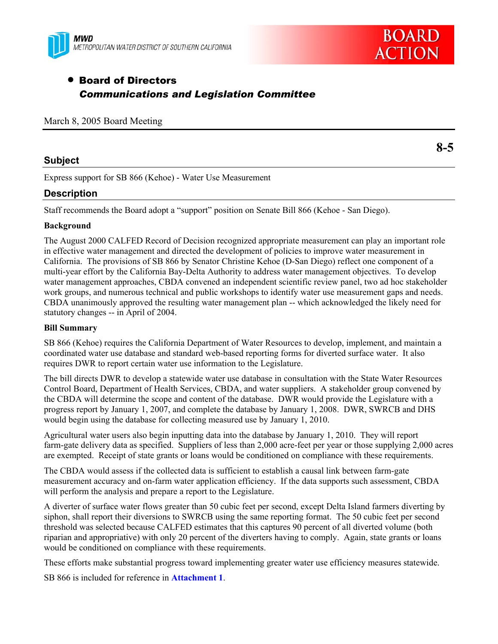



**8-5** 

# • Board of Directors *Communications and Legislation Committee*

|  |  |  |  | March 8, 2005 Board Meeting |
|--|--|--|--|-----------------------------|
|--|--|--|--|-----------------------------|

## **Subject**

Express support for SB 866 (Kehoe) - Water Use Measurement

# **Description**

Staff recommends the Board adopt a "support" position on Senate Bill 866 (Kehoe - San Diego).

## **Background**

The August 2000 CALFED Record of Decision recognized appropriate measurement can play an important role in effective water management and directed the development of policies to improve water measurement in California. The provisions of SB 866 by Senator Christine Kehoe (D-San Diego) reflect one component of a multi-year effort by the California Bay-Delta Authority to address water management objectives. To develop water management approaches, CBDA convened an independent scientific review panel, two ad hoc stakeholder work groups, and numerous technical and public workshops to identify water use measurement gaps and needs. CBDA unanimously approved the resulting water management plan -- which acknowledged the likely need for statutory changes -- in April of 2004.

#### **Bill Summary**

SB 866 (Kehoe) requires the California Department of Water Resources to develop, implement, and maintain a coordinated water use database and standard web-based reporting forms for diverted surface water. It also requires DWR to report certain water use information to the Legislature.

The bill directs DWR to develop a statewide water use database in consultation with the State Water Resources Control Board, Department of Health Services, CBDA, and water suppliers. A stakeholder group convened by the CBDA will determine the scope and content of the database. DWR would provide the Legislature with a progress report by January 1, 2007, and complete the database by January 1, 2008. DWR, SWRCB and DHS would begin using the database for collecting measured use by January 1, 2010.

Agricultural water users also begin inputting data into the database by January 1, 2010. They will report farm-gate delivery data as specified. Suppliers of less than 2,000 acre-feet per year or those supplying 2,000 acres are exempted. Receipt of state grants or loans would be conditioned on compliance with these requirements.

The CBDA would assess if the collected data is sufficient to establish a causal link between farm-gate measurement accuracy and on-farm water application efficiency. If the data supports such assessment, CBDA will perform the analysis and prepare a report to the Legislature.

A diverter of surface water flows greater than 50 cubic feet per second, except Delta Island farmers diverting by siphon, shall report their diversions to SWRCB using the same reporting format. The 50 cubic feet per second threshold was selected because CALFED estimates that this captures 90 percent of all diverted volume (both riparian and appropriative) with only 20 percent of the diverters having to comply. Again, state grants or loans would be conditioned on compliance with these requirements.

These efforts make substantial progress toward implementing greater water use efficiency measures statewide.

SB 866 is included for reference in **Attachment 1**.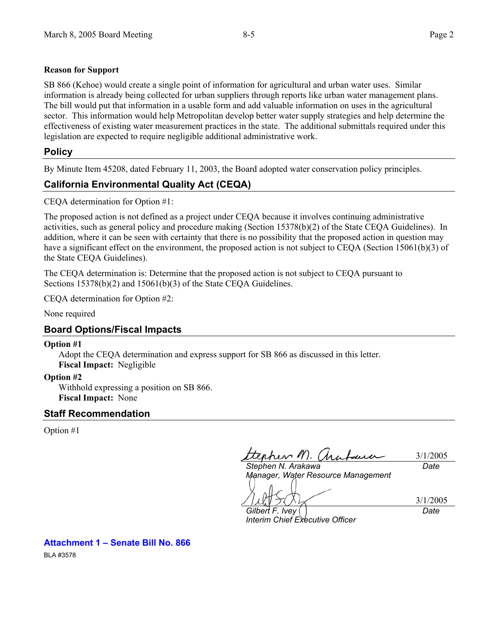## **Reason for Support**

SB 866 (Kehoe) would create a single point of information for agricultural and urban water uses. Similar information is already being collected for urban suppliers through reports like urban water management plans. The bill would put that information in a usable form and add valuable information on uses in the agricultural sector.This information would help Metropolitan develop better water supply strategies and help determine the effectiveness of existing water measurement practices in the state. The additional submittals required under this legislation are expected to require negligible additional administrative work.

# **Policy**

By Minute Item 45208, dated February 11, 2003, the Board adopted water conservation policy principles.

# **California Environmental Quality Act (CEQA)**

CEQA determination for Option #1:

The proposed action is not defined as a project under CEQA because it involves continuing administrative activities, such as general policy and procedure making (Section 15378(b)(2) of the State CEQA Guidelines). In addition, where it can be seen with certainty that there is no possibility that the proposed action in question may have a significant effect on the environment, the proposed action is not subject to CEQA (Section 15061(b)(3) of the State CEQA Guidelines).

The CEQA determination is: Determine that the proposed action is not subject to CEQA pursuant to Sections 15378(b)(2) and 15061(b)(3) of the State CEQA Guidelines.

CEQA determination for Option #2:

None required

# **Board Options/Fiscal Impacts**

## **Option #1**

Adopt the CEQA determination and express support for SB 866 as discussed in this letter. **Fiscal Impact:** Negligible

## **Option #2**

Withhold expressing a position on SB 866. **Fiscal Impact:** None

# **Staff Recommendation**

Option #1

phen M. (ha 3/1/2005 *Stephen N. Arakawa Date* 

*Manager, Water Resource Management* 

3/1/2005 *Date* 

*Gilbert F. Ivey Interim Chief Executive Officer* 

**Attachment 1 – Senate Bill No. 866** 

BLA #3578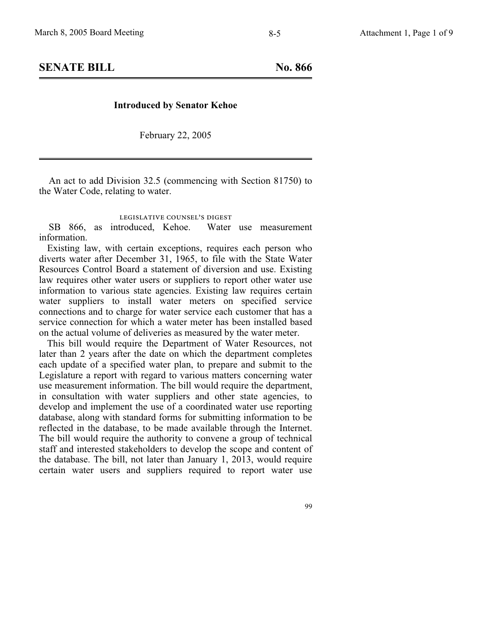**SENATE BILL No. 866** 

#### **Introduced by Senator Kehoe**

February 22, 2005

An act to add Division 32.5 (commencing with Section 81750) to the Water Code, relating to water.

## legislative counsel' s digest

SB 866, as introduced, Kehoe. Water use measurement information.

Existing law, with certain exceptions, requires each person who diverts water after December 31, 1965, to file with the State Water Resources Control Board a statement of diversion and use. Existing law requires other water users or suppliers to report other water use information to various state agencies. Existing law requires certain water suppliers to install water meters on specified service connections and to charge for water service each customer that has a service connection for which a water meter has been installed based on the actual volume of deliveries as measured by the water meter.

This bill would require the Department of Water Resources, not later than 2 years after the date on which the department completes each update of a specified water plan, to prepare and submit to the Legislature a report with regard to various matters concerning water use measurement information. The bill would require the department, in consultation with water suppliers and other state agencies, to develop and implement the use of a coordinated water use reporting database, along with standard forms for submitting information to be reflected in the database, to be made available through the Internet. The bill would require the authority to convene a group of technical staff and interested stakeholders to develop the scope and content of the database. The bill, not later than January 1, 2013, would require certain water users and suppliers required to report water use

99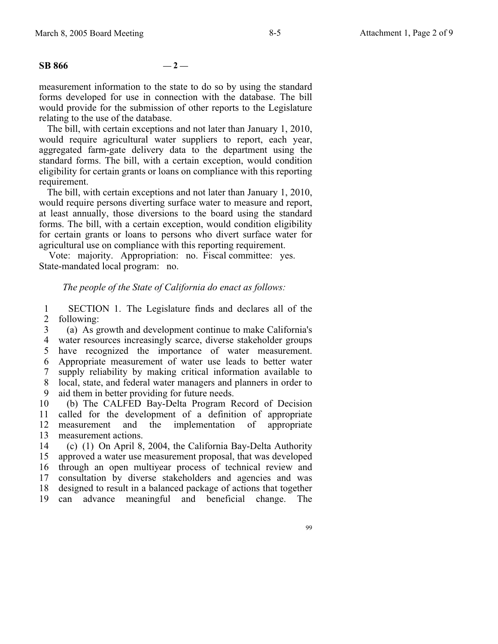## $SB 866$   $-2$  —

measurement information to the state to do so by using the standard forms developed for use in connection with the database. The bill would provide for the submission of other reports to the Legislature relating to the use of the database.

The bill, with certain exceptions and not later than January 1, 2010, would require agricultural water suppliers to report, each year, aggregated farm-gate delivery data to the department using the standard forms. The bill, with a certain exception, would condition eligibility for certain grants or loans on compliance with this reporting requirement.

The bill, with certain exceptions and not later than January 1, 2010, would require persons diverting surface water to measure and report, at least annually, those diversions to the board using the standard forms. The bill, with a certain exception, would condition eligibility for certain grants or loans to persons who divert surface water for agricultural use on compliance with this reporting requirement.

Vote: majority. Appropriation: no. Fiscal committee: yes. State-mandated local program: no.

#### *The people of the State of California do enact as follows:*

1 2 SECTION 1. The Legislature finds and declares all of the following:

3 4 water resources increasingly scarce, diverse stakeholder groups 5 6 7 8 9 (a) As growth and development continue to make California's have recognized the importance of water measurement. Appropriate measurement of water use leads to better water supply reliability by making critical information available to local, state, and federal water managers and planners in order to aid them in better providing for future needs.

10 11 12 13 (b) The CALFED Bay-Delta Program Record of Decision called for the development of a definition of appropriate measurement and the implementation of appropriate measurement actions.

14 15 16 17 18 19 (c) (1) On April 8, 2004, the California Bay-Delta Authority approved a water use measurement proposal, that was developed through an open multiyear process of technical review and consultation by diverse stakeholders and agencies and was designed to result in a balanced package of actions that together can advance meaningful and beneficial change. The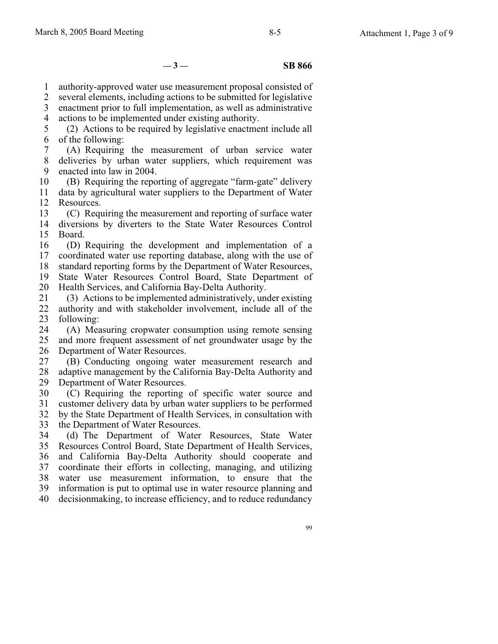$-3 -$ **SB 866** 

1 authority-approved water use measurement proposal consisted of

2 several elements, including actions to be submitted for legislative

3 enactment prior to full implementation, as well as administrative

4 actions to be implemented under existing authority.

5 6 (2) Actions to be required by legislative enactment include all of the following:

7 8 9 (A) Requiring the measurement of urban service water deliveries by urban water suppliers, which requirement was enacted into law in 2004.

10 11 12 (B) Requiring the reporting of aggregate "farm-gate" delivery data by agricultural water suppliers to the Department of Water Resources.

13 14 (C) Requiring the measurement and reporting of surface water diversions by diverters to the State Water Resources Control

15 Board.

16 17 (D) Requiring the development and implementation of a coordinated water use reporting database, along with the use of

18 standard reporting forms by the Department of Water Resources,

19 State Water Resources Control Board, State Department of

20 Health Services, and California Bay-Delta Authority.

21 22 23 (3) Actions to be implemented administratively, under existing authority and with stakeholder involvement, include all of the following:

24 25 26 (A) Measuring cropwater consumption using remote sensing and more frequent assessment of net groundwater usage by the Department of Water Resources.

27 28 29 (B) Conducting ongoing water measurement research and adaptive management by the California Bay-Delta Authority and Department of Water Resources.

30 31 (C) Requiring the reporting of specific water source and customer delivery data by urban water suppliers to be performed

32 33 by the State Department of Health Services, in consultation with the Department of Water Resources.

34 35 36 37 38 39 40 (d) The Department of Water Resources, State Water Resources Control Board, State Department of Health Services, and California Bay-Delta Authority should cooperate and coordinate their efforts in collecting, managing, and utilizing water use measurement information, to ensure that the information is put to optimal use in water resource planning and decisionmaking, to increase efficiency, and to reduce redundancy

99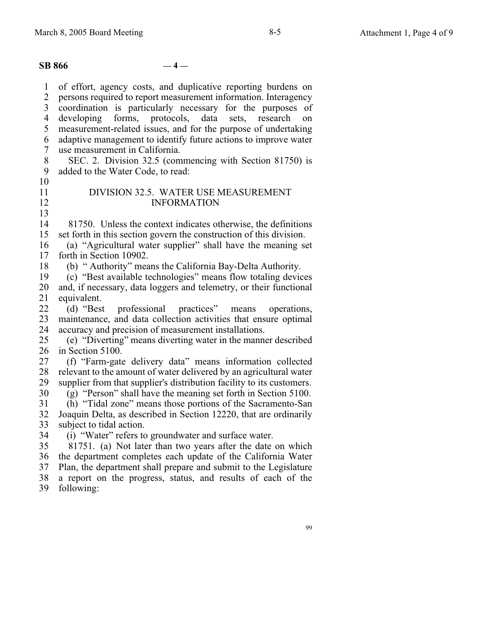1 2 3 4 5 6 7 8 9 10 11 12 13 14 15 16 17 18 19 20 21 22 23 24 25 26 27 28 29 30 31 32 33 34 35 36 37 of effort, agency costs, and duplicative reporting burdens on persons required to report measurement information. Interagency coordination is particularly necessary for the purposes of developing forms, protocols, data sets, research on measurement-related issues, and for the purpose of undertaking adaptive management to identify future actions to improve water use measurement in California. SEC. 2. Division 32.5 (commencing with Section 81750) is added to the Water Code, to read: DIVISION 32.5. WATER USE MEASUREMENT INFORMATION 81750. Unless the context indicates otherwise, the definitions set forth in this section govern the construction of this division. (a) "Agricultural water supplier" shall have the meaning set forth in Section 10902. (b) " Authority" means the California Bay-Delta Authority. (c) "Best available technologies" means flow totaling devices and, if necessary, data loggers and telemetry, or their functional equivalent.<br>(d) "Best professional practices" means operations, maintenance, and data collection activities that ensure optimal accuracy and precision of measurement installations. (e) "Diverting" means diverting water in the manner described in Section 5100. (f) "Farm-gate delivery data" means information collected relevant to the amount of water delivered by an agricultural water supplier from that supplier's distribution facility to its customers. (g) "Person" shall have the meaning set forth in Section 5100. (h) "Tidal zone" means those portions of the Sacramento-San Joaquin Delta, as described in Section 12220, that are ordinarily subject to tidal action. (i) "Water" refers to groundwater and surface water. 81751. (a) Not later than two years after the date on which the department completes each update of the California Water Plan, the department shall prepare and submit to the Legislature **SB 866**  $-4-$ 

- 38 a report on the progress, status, and results of each of the
- 39 following: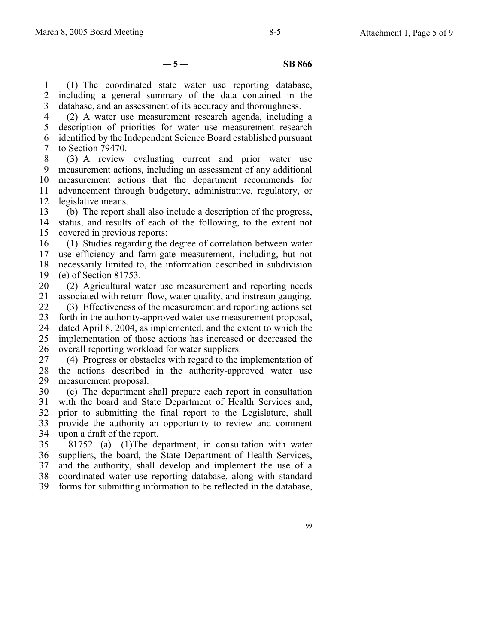$-5 -$  **SB 866** 

1 2 3 (1) The coordinated state water use reporting database, including a general summary of the data contained in the database, and an assessment of its accuracy and thoroughness.

4 5 6 7 (2) A water use measurement research agenda, including a description of priorities for water use measurement research identified by the Independent Science Board established pursuant to Section 79470.

8 9 10 11 12 (3) A review evaluating current and prior water use measurement actions, including an assessment of any additional measurement actions that the department recommends for advancement through budgetary, administrative, regulatory, or legislative means.

13 14 15 (b) The report shall also include a description of the progress, status, and results of each of the following, to the extent not covered in previous reports:

16 17 18 19 (1) Studies regarding the degree of correlation between water use efficiency and farm-gate measurement, including, but not necessarily limited to, the information described in subdivision (e) of Section 81753.

20 21 (2) Agricultural water use measurement and reporting needs associated with return flow, water quality, and instream gauging.

22 23 24 25 26 (3) Effectiveness of the measurement and reporting actions set forth in the authority-approved water use measurement proposal, dated April 8, 2004, as implemented, and the extent to which the implementation of those actions has increased or decreased the overall reporting workload for water suppliers.

27 28 29 (4) Progress or obstacles with regard to the implementation of the actions described in the authority-approved water use measurement proposal.

30 31 32 33 34 (c) The department shall prepare each report in consultation with the board and State Department of Health Services and, prior to submitting the final report to the Legislature, shall provide the authority an opportunity to review and comment upon a draft of the report.

35 36 37 38 39 81752. (a) (1) The department, in consultation with water suppliers, the board, the State Department of Health Services, and the authority, shall develop and implement the use of a coordinated water use reporting database, along with standard forms for submitting information to be reflected in the database,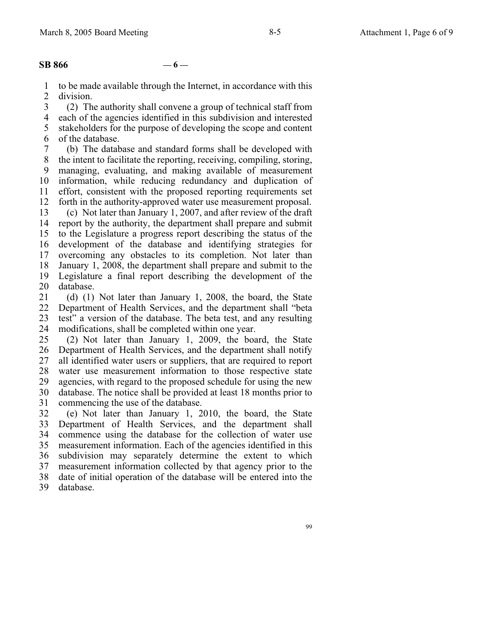#### **SB 866**  $-6-$

1 2 to be made available through the Internet, in accordance with this division.

3 4 5 6 (2) The authority shall convene a group of technical staff from each of the agencies identified in this subdivision and interested stakeholders for the purpose of developing the scope and content of the database.

7 8 9 10 11 12 13 14 15 16 17 18 19 20 (b) The database and standard forms shall be developed with the intent to facilitate the reporting, receiving, compiling, storing, managing, evaluating, and making available of measurement information, while reducing redundancy and duplication of effort, consistent with the proposed reporting requirements set forth in the authority-approved water use measurement proposal. (c) Not later than January 1, 2007, and after review of the draft report by the authority, the department shall prepare and submit to the Legislature a progress report describing the status of the development of the database and identifying strategies for overcoming any obstacles to its completion. Not later than January 1, 2008, the department shall prepare and submit to the Legislature a final report describing the development of the database.

21 22 23 24 (d) (1) Not later than January 1, 2008, the board, the State Department of Health Services, and the department shall "beta test" a version of the database. The beta test, and any resulting modifications, shall be completed within one year.

25 26 27 28 29 30 31 (2) Not later than January 1, 2009, the board, the State Department of Health Services, and the department shall notify all identified water users or suppliers, that are required to report water use measurement information to those respective state agencies, with regard to the proposed schedule for using the new database. The notice shall be provided at least 18 months prior to commencing the use of the database.

32 33 34 35 36 37 38 39 (e) Not later than January 1, 2010, the board, the State Department of Health Services, and the department shall commence using the database for the collection of water use measurement information. Each of the agencies identified in this subdivision may separately determine the extent to which measurement information collected by that agency prior to the date of initial operation of the database will be entered into the database.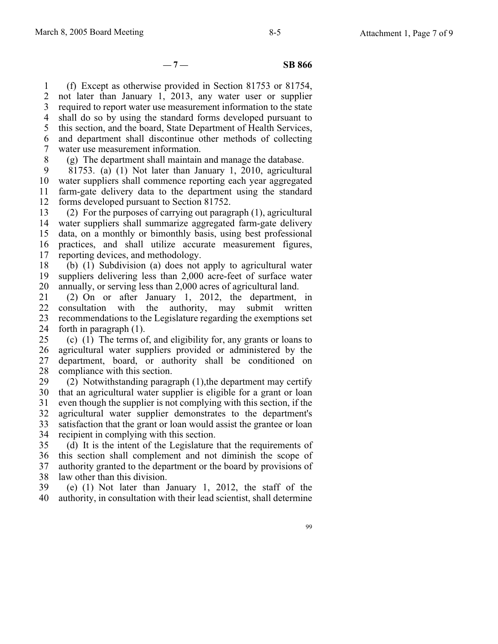$-7 -$  **SB 866** 

1 2 3 4 5 6 7 (f) Except as otherwise provided in Section 81753 or 81754, not later than January 1, 2013, any water user or supplier required to report water use measurement information to the state shall do so by using the standard forms developed pursuant to this section, and the board, State Department of Health Services, and department shall discontinue other methods of collecting water use measurement information.

8 (g) The department shall maintain and manage the database.

9 10 11 12 81753. (a) (1) Not later than January 1, 2010, agricultural water suppliers shall commence reporting each year aggregated farm-gate delivery data to the department using the standard forms developed pursuant to Section 81752.

13 14 15 16 17 (2) For the purposes of carrying out paragraph (1), agricultural water suppliers shall summarize aggregated farm-gate delivery data, on a monthly or bimonthly basis, using best professional practices, and shall utilize accurate measurement figures, reporting devices, and methodology.

18 19 20 (b) (1) Subdivision (a) does not apply to agricultural water suppliers delivering less than 2,000 acre-feet of surface water annually, or serving less than 2,000 acres of agricultural land.

21 22 23 24 (2) On or after January 1, 2012, the department, in consultation with the authority, may submit written recommendations to the Legislature regarding the exemptions set forth in paragraph (1).

25 26 27 28 (c) (1) The terms of, and eligibility for, any grants or loans to agricultural water suppliers provided or administered by the department, board, or authority shall be conditioned on compliance with this section.

29 30 31 32 33 34 (2) Notwithstanding paragraph (1),the department may certify that an agricultural water supplier is eligible for a grant or loan even though the supplier is not complying with this section, if the agricultural water supplier demonstrates to the department's satisfaction that the grant or loan would assist the grantee or loan recipient in complying with this section.

35 36 37 38 (d) It is the intent of the Legislature that the requirements of this section shall complement and not diminish the scope of authority granted to the department or the board by provisions of law other than this division.

39 40 (e) (1) Not later than January 1, 2012, the staff of the authority, in consultation with their lead scientist, shall determine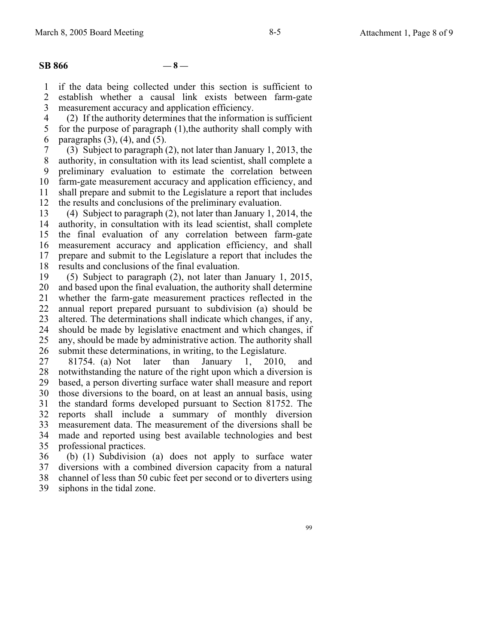#### $SB 866$   $-8$  —

1 2 3 if the data being collected under this section is sufficient to establish whether a causal link exists between farm-gate measurement accuracy and application efficiency.

4 5 6 (2) If the authority determines that the information is sufficient for the purpose of paragraph (1),the authority shall comply with paragraphs  $(3)$ ,  $(4)$ , and  $(5)$ .

7 8 9 10 11 12 (3) Subject to paragraph (2), not later than January 1, 2013, the authority, in consultation with its lead scientist, shall complete a preliminary evaluation to estimate the correlation between farm-gate measurement accuracy and application efficiency, and shall prepare and submit to the Legislature a report that includes the results and conclusions of the preliminary evaluation.

13 14 15 16 17 18 (4) Subject to paragraph (2), not later than January 1, 2014, the authority, in consultation with its lead scientist, shall complete the final evaluation of any correlation between farm-gate measurement accuracy and application efficiency, and shall prepare and submit to the Legislature a report that includes the results and conclusions of the final evaluation.

19 20 21 22 23 24 25 26 (5) Subject to paragraph (2), not later than January 1, 2015, and based upon the final evaluation, the authority shall determine whether the farm-gate measurement practices reflected in the annual report prepared pursuant to subdivision (a) should be altered. The determinations shall indicate which changes, if any, should be made by legislative enactment and which changes, if any, should be made by administrative action. The authority shall submit these determinations, in writing, to the Legislature.

27 28 29 30 31 32 33 34 35 81754. (a) Not later than January 1, 2010, and notwithstanding the nature of the right upon which a diversion is based, a person diverting surface water shall measure and report those diversions to the board, on at least an annual basis, using the standard forms developed pursuant to Section 81752. The reports shall include a summary of monthly diversion measurement data. The measurement of the diversions shall be made and reported using best available technologies and best professional practices.

36 37 38 39 (b) (1) Subdivision (a) does not apply to surface water diversions with a combined diversion capacity from a natural channel of less than 50 cubic feet per second or to diverters using siphons in the tidal zone.